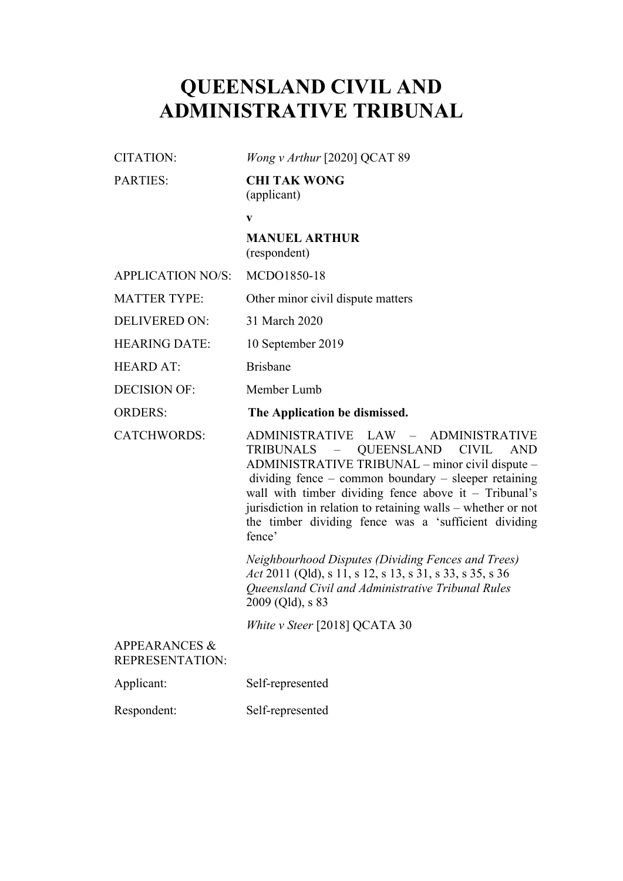# **QUEENSLAND CIVIL AND ADMINISTRATIVE TRIBUNAL**

| CITATION: | <i>Wong v Arthur</i> [2020] QCAT 89 |
|-----------|-------------------------------------|
| PARTIES:  | <b>CHI TAK WONG</b><br>(applicant)  |

**v**

## **MANUEL ARTHUR** (respondent)

| APPLICATION NO/S: MCDO1850-18 |                                   |
|-------------------------------|-----------------------------------|
| <b>MATTER TYPE:</b>           | Other minor civil dispute matters |

DELIVERED ON: 31 March 2020

HEARING DATE: 10 September 2019

HEARD AT: Brisbane

DECISION OF: Member Lumb

ORDERS: **The Application be dismissed.**

CATCHWORDS: ADMINISTRATIVE LAW – ADMINISTRATIVE TRIBUNALS – QUEENSLAND CIVIL AND ADMINISTRATIVE TRIBUNAL – minor civil dispute – dividing fence – common boundary – sleeper retaining wall with timber dividing fence above it – Tribunal's jurisdiction in relation to retaining walls – whether or not the timber dividing fence was a 'sufficient dividing fence'

> *Neighbourhood Disputes (Dividing Fences and Trees) Act* 2011 (Qld), s 11, s 12, s 13, s 31, s 33, s 35, s 36 *Queensland Civil and Administrative Tribunal Rules*  2009 (Qld), s 83

*White v Steer* [2018] QCATA 30

## APPEARANCES & REPRESENTATION:

Applicant: Self-represented

Respondent: Self-represented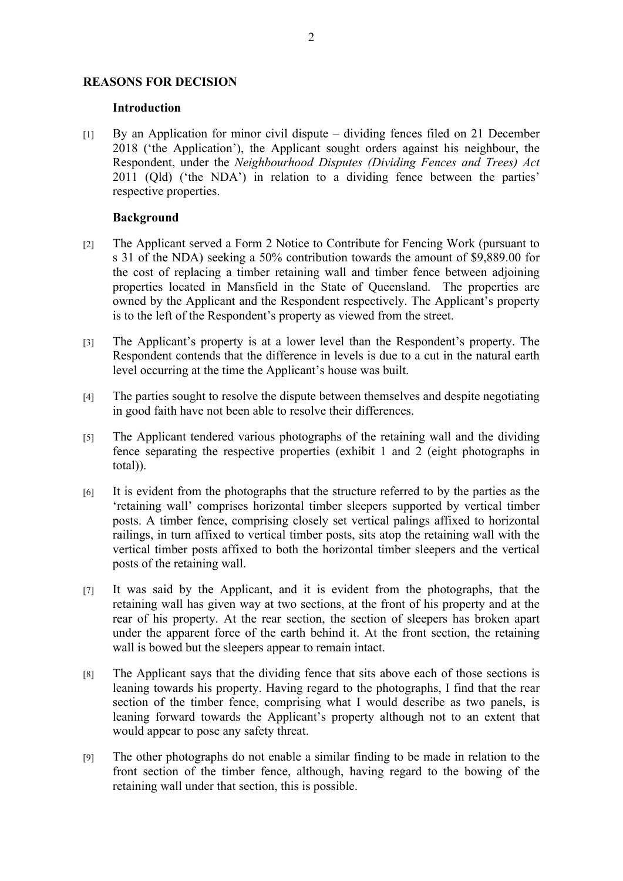#### **REASONS FOR DECISION**

#### **Introduction**

[1] By an Application for minor civil dispute – dividing fences filed on 21 December 2018 ('the Application'), the Applicant sought orders against his neighbour, the Respondent, under the *Neighbourhood Disputes (Dividing Fences and Trees) Act*  2011 (Qld) ('the NDA') in relation to a dividing fence between the parties' respective properties.

## **Background**

- [2] The Applicant served a Form 2 Notice to Contribute for Fencing Work (pursuant to s 31 of the NDA) seeking a 50% contribution towards the amount of \$9,889.00 for the cost of replacing a timber retaining wall and timber fence between adjoining properties located in Mansfield in the State of Queensland. The properties are owned by the Applicant and the Respondent respectively. The Applicant's property is to the left of the Respondent's property as viewed from the street.
- [3] The Applicant's property is at a lower level than the Respondent's property. The Respondent contends that the difference in levels is due to a cut in the natural earth level occurring at the time the Applicant's house was built.
- [4] The parties sought to resolve the dispute between themselves and despite negotiating in good faith have not been able to resolve their differences.
- [5] The Applicant tendered various photographs of the retaining wall and the dividing fence separating the respective properties (exhibit 1 and 2 (eight photographs in total)).
- [6] It is evident from the photographs that the structure referred to by the parties as the 'retaining wall' comprises horizontal timber sleepers supported by vertical timber posts. A timber fence, comprising closely set vertical palings affixed to horizontal railings, in turn affixed to vertical timber posts, sits atop the retaining wall with the vertical timber posts affixed to both the horizontal timber sleepers and the vertical posts of the retaining wall.
- [7] It was said by the Applicant, and it is evident from the photographs, that the retaining wall has given way at two sections, at the front of his property and at the rear of his property. At the rear section, the section of sleepers has broken apart under the apparent force of the earth behind it. At the front section, the retaining wall is bowed but the sleepers appear to remain intact.
- [8] The Applicant says that the dividing fence that sits above each of those sections is leaning towards his property. Having regard to the photographs, I find that the rear section of the timber fence, comprising what I would describe as two panels, is leaning forward towards the Applicant's property although not to an extent that would appear to pose any safety threat.
- [9] The other photographs do not enable a similar finding to be made in relation to the front section of the timber fence, although, having regard to the bowing of the retaining wall under that section, this is possible.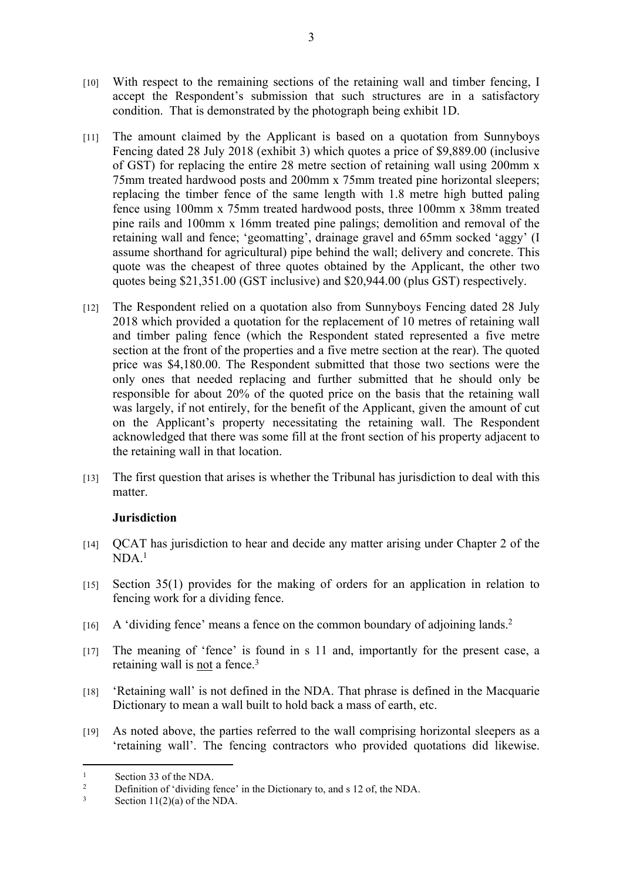- [10] With respect to the remaining sections of the retaining wall and timber fencing, I accept the Respondent's submission that such structures are in a satisfactory condition. That is demonstrated by the photograph being exhibit 1D.
- [11] The amount claimed by the Applicant is based on a quotation from Sunnyboys Fencing dated 28 July 2018 (exhibit 3) which quotes a price of \$9,889.00 (inclusive of GST) for replacing the entire 28 metre section of retaining wall using 200mm x 75mm treated hardwood posts and 200mm x 75mm treated pine horizontal sleepers; replacing the timber fence of the same length with 1.8 metre high butted paling fence using 100mm x 75mm treated hardwood posts, three 100mm x 38mm treated pine rails and 100mm x 16mm treated pine palings; demolition and removal of the retaining wall and fence; 'geomatting', drainage gravel and 65mm socked 'aggy' (I assume shorthand for agricultural) pipe behind the wall; delivery and concrete. This quote was the cheapest of three quotes obtained by the Applicant, the other two quotes being \$21,351.00 (GST inclusive) and \$20,944.00 (plus GST) respectively.
- [12] The Respondent relied on a quotation also from Sunnyboys Fencing dated 28 July 2018 which provided a quotation for the replacement of 10 metres of retaining wall and timber paling fence (which the Respondent stated represented a five metre section at the front of the properties and a five metre section at the rear). The quoted price was \$4,180.00. The Respondent submitted that those two sections were the only ones that needed replacing and further submitted that he should only be responsible for about 20% of the quoted price on the basis that the retaining wall was largely, if not entirely, for the benefit of the Applicant, given the amount of cut on the Applicant's property necessitating the retaining wall. The Respondent acknowledged that there was some fill at the front section of his property adjacent to the retaining wall in that location.
- [13] The first question that arises is whether the Tribunal has jurisdiction to deal with this matter.

# **Jurisdiction**

- [14] QCAT has jurisdiction to hear and decide any matter arising under Chapter 2 of the  $NDA$ <sup>1</sup>
- [15] Section 35(1) provides for the making of orders for an application in relation to fencing work for a dividing fence.
- $[16]$  A 'dividing fence' means a fence on the common boundary of adjoining lands.<sup>2</sup>
- [17] The meaning of 'fence' is found in s 11 and, importantly for the present case, a retaining wall is not a fence.<sup>3</sup>
- [18] 'Retaining wall' is not defined in the NDA. That phrase is defined in the Macquarie Dictionary to mean a wall built to hold back a mass of earth, etc.
- [19] As noted above, the parties referred to the wall comprising horizontal sleepers as a 'retaining wall'. The fencing contractors who provided quotations did likewise.

<sup>1</sup> Section 33 of the NDA.

<sup>2</sup> Definition of 'dividing fence' in the Dictionary to, and s 12 of, the NDA.

<sup>3</sup> Section 11(2)(a) of the NDA.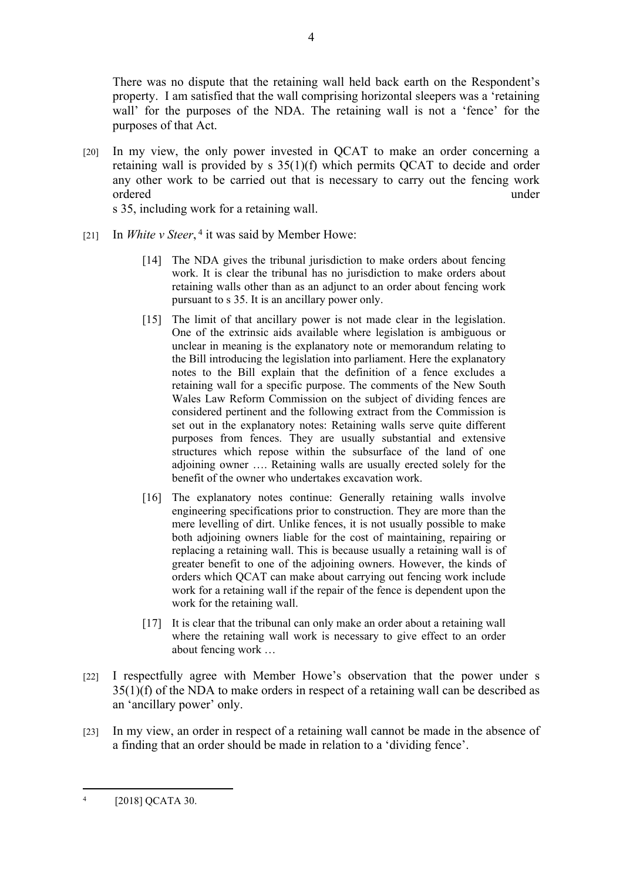There was no dispute that the retaining wall held back earth on the Respondent's property. I am satisfied that the wall comprising horizontal sleepers was a 'retaining wall' for the purposes of the NDA. The retaining wall is not a 'fence' for the purposes of that Act.

[20] In my view, the only power invested in QCAT to make an order concerning a retaining wall is provided by s 35(1)(f) which permits QCAT to decide and order any other work to be carried out that is necessary to carry out the fencing work ordered under under the under the under the under the under the under the under the under the under the under the under the under the under the under the under the under the under the under the under the under the under th

s 35, including work for a retaining wall.

- [21] In *White v Steer*, <sup>4</sup> it was said by Member Howe:
	- [14] The NDA gives the tribunal jurisdiction to make orders about fencing work. It is clear the tribunal has no jurisdiction to make orders about retaining walls other than as an adjunct to an order about fencing work pursuant to s 35. It is an ancillary power only.
	- [15] The limit of that ancillary power is not made clear in the legislation. One of the extrinsic aids available where legislation is ambiguous or unclear in meaning is the explanatory note or memorandum relating to the Bill introducing the legislation into parliament. Here the explanatory notes to the Bill explain that the definition of a fence excludes a retaining wall for a specific purpose. The comments of the New South Wales Law Reform Commission on the subject of dividing fences are considered pertinent and the following extract from the Commission is set out in the explanatory notes: Retaining walls serve quite different purposes from fences. They are usually substantial and extensive structures which repose within the subsurface of the land of one adjoining owner …. Retaining walls are usually erected solely for the benefit of the owner who undertakes excavation work.
	- [16] The explanatory notes continue: Generally retaining walls involve engineering specifications prior to construction. They are more than the mere levelling of dirt. Unlike fences, it is not usually possible to make both adjoining owners liable for the cost of maintaining, repairing or replacing a retaining wall. This is because usually a retaining wall is of greater benefit to one of the adjoining owners. However, the kinds of orders which QCAT can make about carrying out fencing work include work for a retaining wall if the repair of the fence is dependent upon the work for the retaining wall.
	- [17] It is clear that the tribunal can only make an order about a retaining wall where the retaining wall work is necessary to give effect to an order about fencing work …
- [22] I respectfully agree with Member Howe's observation that the power under s 35(1)(f) of the NDA to make orders in respect of a retaining wall can be described as an 'ancillary power' only.
- [23] In my view, an order in respect of a retaining wall cannot be made in the absence of a finding that an order should be made in relation to a 'dividing fence'.

<sup>4</sup> [2018] QCATA 30.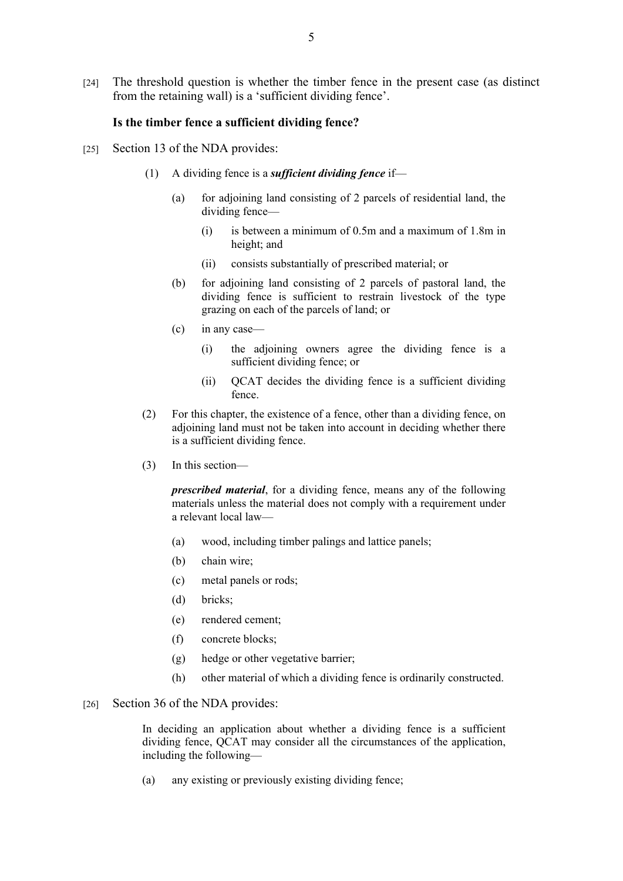[24] The threshold question is whether the timber fence in the present case (as distinct from the retaining wall) is a 'sufficient dividing fence'.

#### **Is the timber fence a sufficient dividing fence?**

- [25] Section 13 of the NDA provides:
	- (1) A dividing fence is a *sufficient dividing fence* if—
		- (a) for adjoining land consisting of 2 parcels of residential land, the dividing fence—
			- (i) is between a minimum of 0.5m and a maximum of 1.8m in height; and
			- (ii) consists substantially of prescribed material; or
		- (b) for adjoining land consisting of 2 parcels of pastoral land, the dividing fence is sufficient to restrain livestock of the type grazing on each of the parcels of land; or
		- (c) in any case—
			- (i) the adjoining owners agree the dividing fence is a sufficient dividing fence; or
			- (ii) QCAT decides the dividing fence is a sufficient dividing fence.
	- (2) For this chapter, the existence of a fence, other than a dividing fence, on adjoining land must not be taken into account in deciding whether there is a sufficient dividing fence.
	- (3) In this section—

*prescribed material*, for a dividing fence, means any of the following materials unless the material does not comply with a requirement under a relevant local law—

- (a) wood, including timber palings and lattice panels;
- (b) chain wire;
- (c) metal panels or rods;
- (d) bricks;
- (e) rendered cement;
- (f) concrete blocks;
- (g) hedge or other vegetative barrier;
- (h) other material of which a dividing fence is ordinarily constructed.

#### [26] Section 36 of the NDA provides:

In deciding an application about whether a dividing fence is a sufficient dividing fence, QCAT may consider all the circumstances of the application, including the following—

(a) any existing or previously existing dividing fence;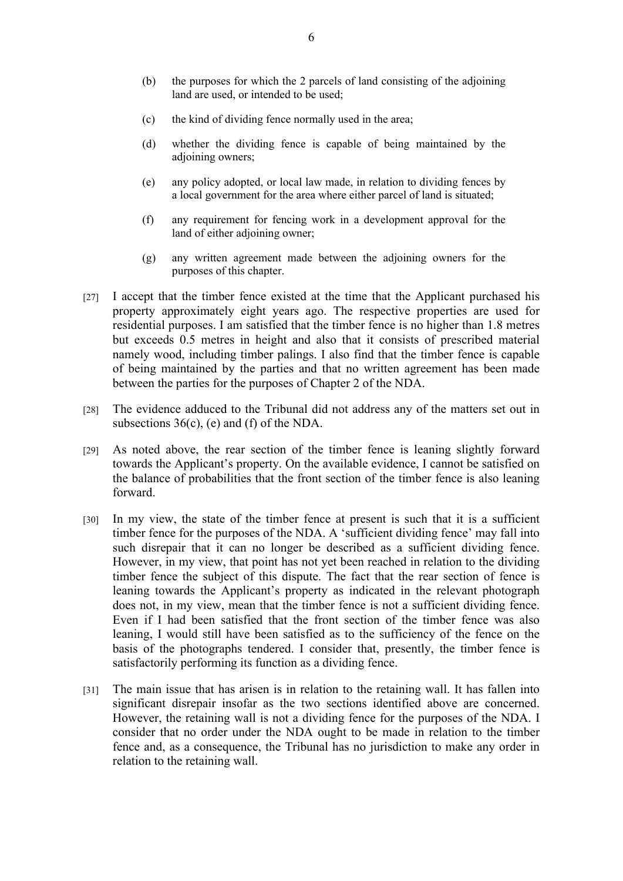- (b) the purposes for which the 2 parcels of land consisting of the adjoining land are used, or intended to be used;
- (c) the kind of dividing fence normally used in the area;
- (d) whether the dividing fence is capable of being maintained by the adjoining owners;
- (e) any policy adopted, or local law made, in relation to dividing fences by a local government for the area where either parcel of land is situated;
- (f) any requirement for fencing work in a development approval for the land of either adjoining owner;
- (g) any written agreement made between the adjoining owners for the purposes of this chapter.
- [27] I accept that the timber fence existed at the time that the Applicant purchased his property approximately eight years ago. The respective properties are used for residential purposes. I am satisfied that the timber fence is no higher than 1.8 metres but exceeds 0.5 metres in height and also that it consists of prescribed material namely wood, including timber palings. I also find that the timber fence is capable of being maintained by the parties and that no written agreement has been made between the parties for the purposes of Chapter 2 of the NDA.
- [28] The evidence adduced to the Tribunal did not address any of the matters set out in subsections 36(c), (e) and (f) of the NDA.
- [29] As noted above, the rear section of the timber fence is leaning slightly forward towards the Applicant's property. On the available evidence, I cannot be satisfied on the balance of probabilities that the front section of the timber fence is also leaning forward.
- [30] In my view, the state of the timber fence at present is such that it is a sufficient timber fence for the purposes of the NDA. A 'sufficient dividing fence' may fall into such disrepair that it can no longer be described as a sufficient dividing fence. However, in my view, that point has not yet been reached in relation to the dividing timber fence the subject of this dispute. The fact that the rear section of fence is leaning towards the Applicant's property as indicated in the relevant photograph does not, in my view, mean that the timber fence is not a sufficient dividing fence. Even if I had been satisfied that the front section of the timber fence was also leaning, I would still have been satisfied as to the sufficiency of the fence on the basis of the photographs tendered. I consider that, presently, the timber fence is satisfactorily performing its function as a dividing fence.
- [31] The main issue that has arisen is in relation to the retaining wall. It has fallen into significant disrepair insofar as the two sections identified above are concerned. However, the retaining wall is not a dividing fence for the purposes of the NDA. I consider that no order under the NDA ought to be made in relation to the timber fence and, as a consequence, the Tribunal has no jurisdiction to make any order in relation to the retaining wall.